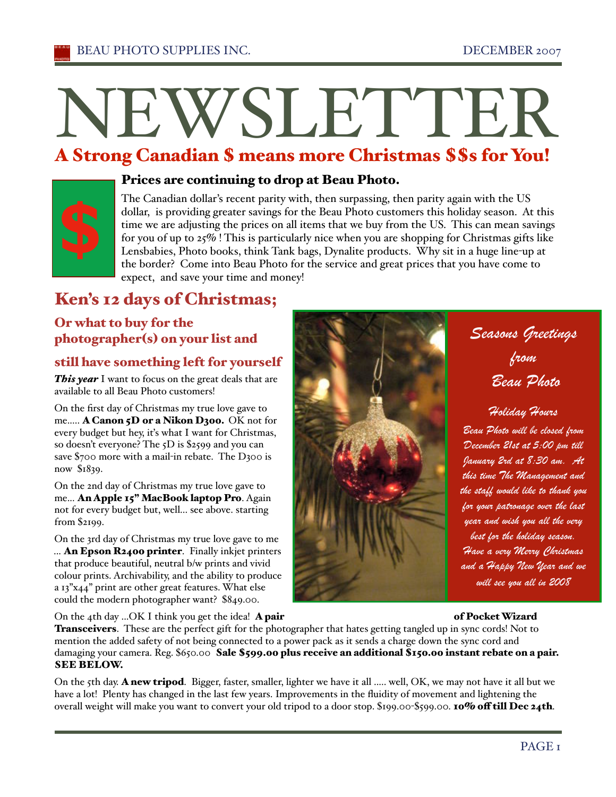# N<br>A Stroi E<br>E WSLETTER

#### A Strong C anadi an \$ means mor e Christmas \$\$ s for You!



### Prices are continuing to drop at Beau Photo.

The Canadian dollar's recent parity with, then surpassing, then parity again with the US dollar, is providing greater savings for the Beau Photo customers this holiday season. At this time we are adjusting the prices on all items that we buy from the US. This can mean savings for you of up to 25% ! This is particularly nice when you are shopping for Christmas gifts like Lensbabies, Photo books, think Tank bags, Dynalite products. Why sit in a huge line-up at the border? Come into Beau Photo for the service and great prices that you have come to expect, and save your time and money!

# Ken's 12 days of Christmas;

# Or what to buy for the photographer(s) on your list and

## still have something left for yourself

*This year* I want to focus on the great deals that are available to all Beau Photo customers!

On the first day of Christmas my true love gave to me..... A Canon 5D or a Nikon D300. OK not for every budget but hey, it's what I want for Christmas, so doesn't everyone? The 5D is \$2599 and you can save \$700 more with a mail-in rebate. The D300 is now \$1839.

On the 2nd day of Christmas my true love gave to me... An Apple 15" MacBook laptop Pro. Again not for every budget but, well... see above. starting from \$2199.

On the 3rd day of Christmas my true love gave to me ... An Epson R2400 printer. Finally inkjet printers that produce beautiful, neutral b/w prints and vivid colour prints. Archivability, and the ability to produce a 13"x44" print are other great features. What else could the modern photographer want? \$849.00.

On the 4th day ...OK I think you get the idea! **A pair of Pocket Wizard of Pocket Wizard** 

**Transceivers.** These are the perfect gift for the photographer that hates getting tangled up in sync cords! Not to mention the added safety of not being connected to a power pack as it sends a charge down the sync cord and damaging your camera. Reg. \$650.00 Sale \$599.00 plus receive an additional \$150.00 instant rebate on a pair. SEE BELOW.

On the 5th day. A new tripod. Bigger, faster, smaller, lighter we have it all ..... well, OK, we may not have it all but we have a lot! Plenty has changed in the last few years. Improvements in the fluidity of movement and lightening the overall weight will make you want to convert your old tripod to a door stop. \$199.00-\$599.00. 10% off till Dec 24th.



# *Seasons Greetings from Beau Photo*

*Holiday Hours*

*Beau Photo will be closed from December 21st at 5:00 pm till January 2rd at 8:30 am. At this time The Management and the staff would like to thank you for your patronage over the last year and wish you all the very best for the holiday season. Have a very Merry Christmas and a Happy New Year and we will see you all in 2008*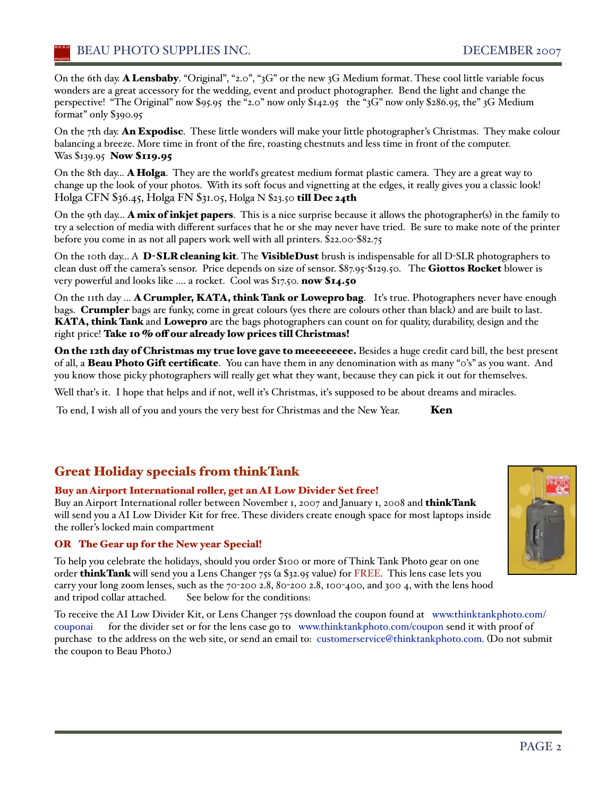On the 6th day. A Lensbaby. "Original", "2.0", "3G" or the new 3G Medium format. These cool little variable focus wonders are a great accessory for the wedding, event and product photographer. Bend the light and change the perspective! "The Original" now \$95.95 the "2.0" now only \$142.95 the "3G" now only \$286.95, the" 3G Medium format" only \$390.95

On the 7th day. An Expodisc. These little wonders will make your little photographer's Christmas. They make colour balancing a breeze. More time in front of the fire, roasting chestnuts and less time in front of the computer. Was \$139.95 **Now \$119.95** 

On the 8th day... **A Holga**. They are the world's greatest medium format plastic camera. They are a great way to change up the look of your photos. With its soft focus and vignetting at the edges, it really gives you a classic look! Holga CFN \$36.45, Holga FN \$31.05, Holga N \$23.50 till Dec 24th

On the 9th day... A mix of inkjet papers. This is a nice surprise because it allows the photographer(s) in the family to try a selection of media with different surfaces that he or she may never have tried. Be sure to make note of the printer before you come in as not all papers work well with all printers. \$22.00-\$82.75

On the 10th day... A D-SLR cleaning kit. The VisibleDust brush is indispensable for all D-SLR photographers to clean dust off the camera's sensor. Price depends on size of sensor. \$87.95-\$129.50. The Giottos Rocket blower is very powerful and looks like .... a rocket. Cool was \$17.50. now \$14.50

On the 11th day ... A Crumpler, KATA, think Tank or Lowepro bag. It's true. Photographers never have enough bags. Crumpler bags are funky, come in great colours (yes there are colours other than black) and are built to last. KATA, think Tank and Lowepro are the bags photographers can count on for quality, durability, design and the right price! Take 10 % off our already low prices till Christmas!

On the 12th day of Christmas my true love gave to meeeeeeeee. Besides a huge credit card bill, the best present of all, a **Beau Photo Gift certificate**. You can have them in any denomination with as many "0's" as you want. And you know those picky photographers will really get what they want, because they can pick it out for themselves.

Well that's it. I hope that helps and if not, well it's Christmas, it's supposed to be about dreams and miracles.

To end, I wish all of you and yours the very best for Christmas and the New Year. Ken

## Great Holiday specials from thinkTank

#### Buy an Airport International roller, get an AI Low Divider Set free!

Buy an Airport International roller between November 1, 2007 and January 1, 2008 and thinkTank will send you a AI Low Divider Kit for free. These dividers create enough space for most laptops inside the roller's locked main compartment

#### OR The Gear up for the New year Special!

To help you celebrate the holidays, should you order \$100 or more of Think Tank Photo gear on one order **think Tank** will send you a Lens Changer 75s (a \$32.95 value) for FREE. This lens case lets you carry your long zoom lenses, such as the 70-200 2.8, 80-200 2.8, 100-400, and 300 4, with the lens hood and tripod collar attached. See below for the conditions:

To receive the AI Low Divider Kit, or Lens Changer 75s download the coupon found at www.thinktankphoto.com/ couponai for the divider set or for the lens case go to www.thinktankphoto.com/coupon send it with proof of purchase to the address on the web site, or send an email to: customerservice@thinktankphoto.com. (Do not submit the coupon to Beau Photo.)

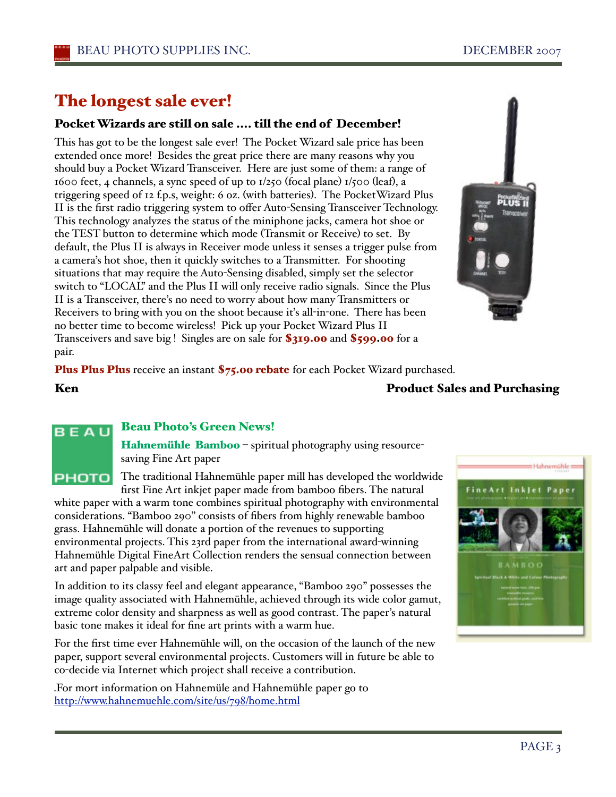# The longest sale ever!

### Pocket Wizards are still on sale .... till the end of December!

This has got to be the longest sale ever! The Pocket Wizard sale price has been extended once more! Besides the great price there are many reasons why you should buy a Pocket Wizard Transceiver. Here are just some of them: a range of 1600 feet, 4 channels, a sync speed of up to 1/250 (focal plane) 1/500 (leaf), a triggering speed of 12 f.p.s, weight: 6 oz. (with batteries). The PocketWizard Plus II is the first radio triggering system to offer Auto-Sensing Transceiver Technology. This technology analyzes the status of the miniphone jacks, camera hot shoe or the TEST button to determine which mode (Transmit or Receive) to set. By default, the Plus II is always in Receiver mode unless it senses a trigger pulse from a camera's hot shoe, then it quickly switches to a Transmitter. For shooting situations that may require the Auto-Sensing disabled, simply set the selector switch to "LOCAL" and the Plus II will only receive radio signals. Since the Plus II is a Transceiver, there's no need to worry about how many Transmitters or Receivers to bring with you on the shoot because iťs all-in-one. There has been no better time to become wireless! Pick up your Pocket Wizard Plus II Transceivers and save big ! Singles are on sale for \$319.00 and \$599.00 for a pair.



#### Beau Photo's Green News! BEAU

Hahnemühle Bamboo - spiritual photography using resourcesaving Fine Art paper

The traditional Hahnemühle paper mill has developed the worldwide **PHOTO** first Fine Art inkjet paper made from bamboo fibers. The natural

white paper with a warm tone combines spiritual photography with environmental considerations. "Bamboo 290" consists of fibers from highly renewable bamboo grass. Hahnemühle will donate a portion of the revenues to supporting environmental projects. This 23rd paper from the international award-winning Hahnemühle Digital FineArt Collection renders the sensual connection between art and paper palpable and visible.

In addition to its classy feel and elegant appearance, "Bamboo 290" possesses the image quality associated with Hahnemühle, achieved through its wide color gamut, extreme color density and sharpness as well as good contrast. The paper's natural basic tone makes it ideal for fine art prints with a warm hue.

For the first time ever Hahnemühle will, on the occasion of the launch of the new paper, support several environmental projects. Customers will in future be able to co-decide via Internet which project shall receive a contribution.

.For mort information on Hahnemüle and Hahnemühle paper go to http://www.hahnemuehle.com/site/us/798/home.html

PAGE<sub>3</sub>





### Ken **Product Sales and Purchasing**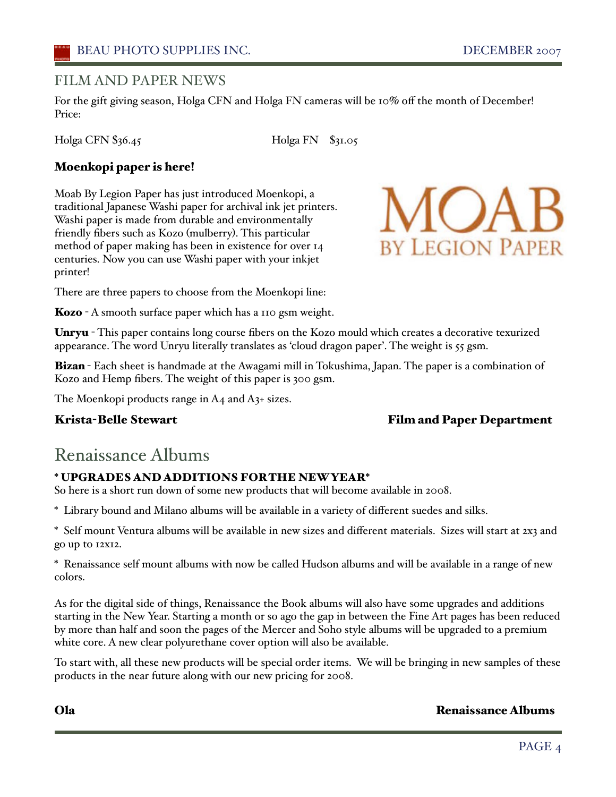### FILM AND PAPER NEWS

For the gift giving season, Holga CFN and Holga FN cameras will be 10% off the month of December! Price:

Holga CFN \$36.45 Holga FN \$31.05

### Moenkopi paper is here!

Moab By Legion Paper has just introduced Moenkopi, a traditional Japanese Washi paper for archival ink jet printers. Washi paper is made from durable and environmentally friendly fibers such as Kozo (mulberry). This particular method of paper making has been in existence for over 14 centuries. Now you can use Washi paper with your inkjet printer!



There are three papers to choose from the Moenkopi line:

**Kozo** - A smooth surface paper which has a 110 gsm weight.

Unryu - This paper contains long course fibers on the Kozo mould which creates a decorative texurized appearance. The word Unryu literally translates as 'cloud dragon paper'. The weight is 55 gsm.

Bizan - Each sheet is handmade at the Awagami mill in Tokushima, Japan. The paper is a combination of Kozo and Hemp fibers. The weight of this paper is 300 gsm.

The Moenkopi products range in A4 and A3+ sizes.

### Krista-Belle Stewart Film and Paper Department

# Renaissance Albums

#### \* UPGRADES AND ADDITIONS FORTHE NEWYEAR\*

So here is a short run down of some new products that will become available in 2008.

\* Library bound and Milano albums will be available in a variety of different suedes and silks.

\* Self mount Ventura albums will be available in new sizes and different materials. Sizes will start at 2x3 and go up to 12x12.

\* Renaissance self mount albums with now be called Hudson albums and will be available in a range of new colors.

As for the digital side of things, Renaissance the Book albums will also have some upgrades and additions starting in the New Year. Starting a month or so ago the gap in between the Fine Art pages has been reduced by more than half and soon the pages of the Mercer and Soho style albums will be upgraded to a premium white core. A new clear polyurethane cover option will also be available.

To start with, all these new products will be special order items. We will be bringing in new samples of these products in the near future along with our new pricing for 2008.

#### Ola Renaissance Albums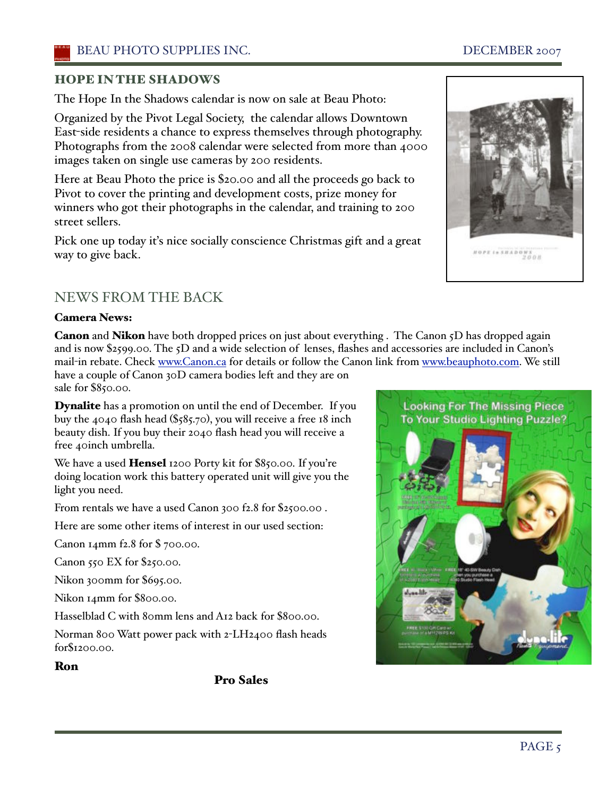## HOPE IN THE SHADOWS

The Hope In the Shadows calendar is now on sale at Beau Photo:

Organized by the Pivot Legal Society, the calendar allows Downtown East-side residents a chance to express themselves through photography. Photographs from the 2008 calendar were selected from more than 4000 images taken on single use cameras by 200 residents.

Here at Beau Photo the price is \$20.00 and all the proceeds go back to Pivot to cover the printing and development costs, prize money for winners who got their photographs in the calendar, and training to 200 street sellers.

Pick one up today iťs nice socially conscience Christmas gift and a great way to give back.

# NEWS FROM THE BACK

#### Camera News:

Canon and Nikon have both dropped prices on just about everything . The Canon 5D has dropped again and is now \$2599.00. The 5D and a wide selection of lenses, flashes and accessories are included in Canon's mail-in rebate. Check www.Canon.ca for details or follow the Canon link from www.beauphoto.com. We still have a couple of Canon 30D camera bodies left and they are on sale for \$850.00.

Dynalite has a promotion on until the end of December. If you buy the 4040 flash head (\$585.70), you will receive a free 18 inch beauty dish. If you buy their 2040 flash head you will receive a free 40inch umbrella.

We have a used **Hensel** 1200 Porty kit for \$850.00. If you're doing location work this battery operated unit will give you the light you need.

From rentals we have a used Canon 300 f2.8 for \$2500.00 .

Here are some other items of interest in our used section:

Canon 14mm f2.8 for \$ 700.00.

Canon 550 EX for \$250.00.

Nikon 300mm for \$695.00.

Nikon 14mm for \$800.00.

Hasselblad C with 80mm lens and A12 back for \$800.00.

Norman 800 Watt power pack with 2-LH2400 flash heads for\$1200.00.

#### Ron

Pro Sales



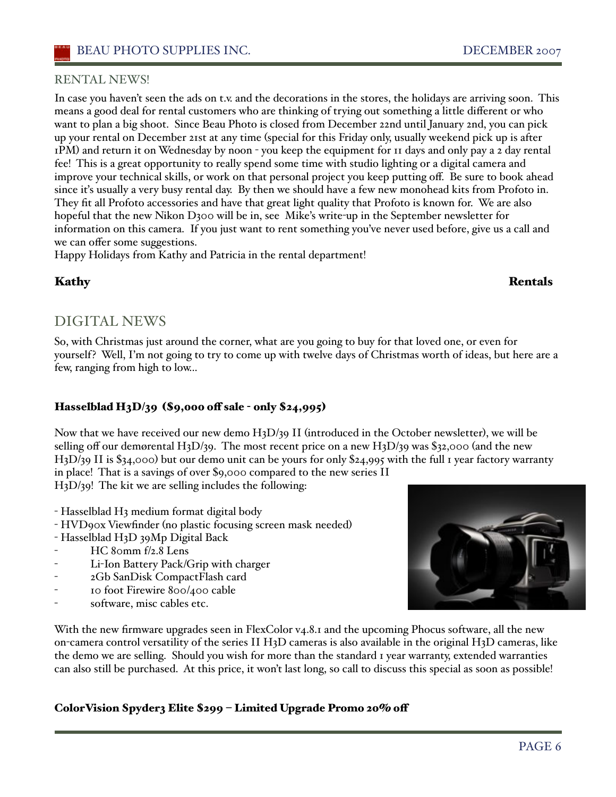# RENTAL NEWS!

In case you haven't seen the ads on t.v. and the decorations in the stores, the holidays are arriving soon. This means a good deal for rental customers who are thinking of trying out something a little different or who want to plan a big shoot. Since Beau Photo is closed from December 22nd until January 2nd, you can pick up your rental on December 21st at any time (special for this Friday only, usually weekend pick up is after 1PM) and return it on Wednesday by noon - you keep the equipment for 11 days and only pay a 2 day rental fee! This is a great opportunity to really spend some time with studio lighting or a digital camera and improve your technical skills, or work on that personal project you keep putting off. Be sure to book ahead since it's usually a very busy rental day. By then we should have a few new monohead kits from Profoto in. They fit all Profoto accessories and have that great light quality that Profoto is known for. We are also hopeful that the new Nikon D300 will be in, see Mike's write-up in the September newsletter for information on this camera. If you just want to rent something you've never used before, give us a call and we can offer some suggestions.

Happy Holidays from Kathy and Patricia in the rental department!

## Kathy Rentals

# DIGITAL NEWS

So, with Christmas just around the corner, what are you going to buy for that loved one, or even for yourself? Well, I'm not going to try to come up with twelve days of Christmas worth of ideas, but here are a few, ranging from high to low...

# Hasselblad H3D/39 (\$9,000 off sale - only \$24,995)

Now that we have received our new demo H3D/39 II (introduced in the October newsletter), we will be selling off our demørental H<sub>3</sub>D/39. The most recent price on a new H<sub>3</sub>D/39 was \$32,000 (and the new H3D/39 II is \$34,000) but our demo unit can be yours for only \$24,995 with the full 1 year factory warranty in place! That is a savings of over \$9,000 compared to the new series II H3D/39! The kit we are selling includes the following:

- Hasselblad H3 medium format digital body
- HVD90x Viewfinder (no plastic focusing screen mask needed)
- Hasselblad H3D 39Mp Digital Back
- $HC$  80mm  $f/2.8$  Lens
- Li-Ion Battery Pack/Grip with charger
- 2Gb SanDisk CompactFlash card
- 10 foot Firewire 800/400 cable
- software, misc cables etc.

With the new firmware upgrades seen in FlexColor v4.8.1 and the upcoming Phocus software, all the new on-camera control versatility of the series II H3D cameras is also available in the original H3D cameras, like the demo we are selling. Should you wish for more than the standard 1 year warranty, extended warranties can also still be purchased. At this price, it won't last long, so call to discuss this special as soon as possible!

# ColorVision Spyder3 Elite \$299 – Limited Upgrade Promo 20% off

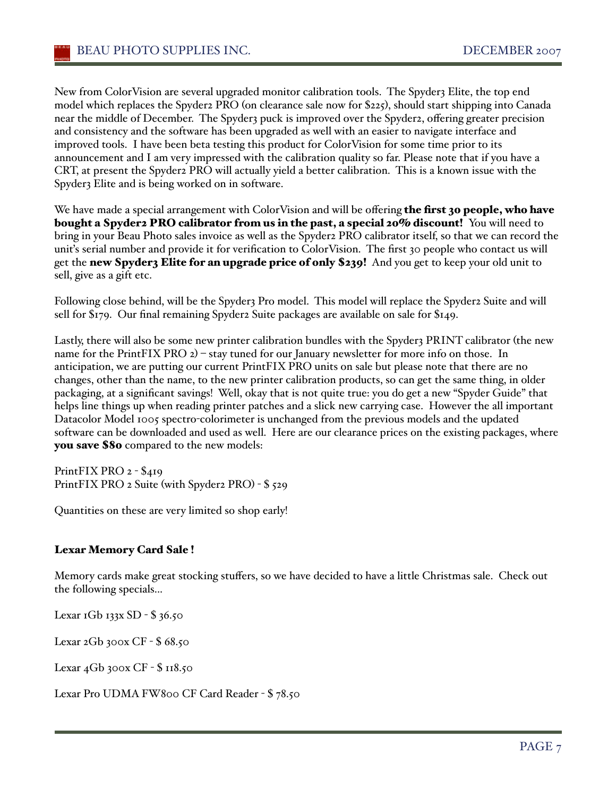New from ColorVision are several upgraded monitor calibration tools. The Spyder3 Elite, the top end model which replaces the Spyder2 PRO (on clearance sale now for \$225), should start shipping into Canada near the middle of December. The Spyder3 puck is improved over the Spyder2, offering greater precision and consistency and the software has been upgraded as well with an easier to navigate interface and improved tools. I have been beta testing this product for ColorVision for some time prior to its announcement and I am very impressed with the calibration quality so far. Please note that if you have a CRT, at present the Spyder2 PRO will actually yield a better calibration. This is a known issue with the Spyder3 Elite and is being worked on in software.

We have made a special arrangement with ColorVision and will be offering the first 30 people, who have bought a Spyder2 PRO calibrator from us in the past, a special 20% discount! You will need to bring in your Beau Photo sales invoice as well as the Spyder2 PRO calibrator itself, so that we can record the unit's serial number and provide it for verification to ColorVision. The first 30 people who contact us will get the new Spyder3 Elite for an upgrade price of only \$239! And you get to keep your old unit to sell, give as a gift etc.

Following close behind, will be the Spyder3 Pro model. This model will replace the Spyder2 Suite and will sell for \$179. Our final remaining Spyder2 Suite packages are available on sale for \$149.

Lastly, there will also be some new printer calibration bundles with the Spyder3 PRINT calibrator (the new name for the PrintFIX PRO 2) – stay tuned for our January newsletter for more info on those. In anticipation, we are putting our current PrintFIX PRO units on sale but please note that there are no changes, other than the name, to the new printer calibration products, so can get the same thing, in older packaging, at a significant savings! Well, okay that is not quite true: you do get a new "Spyder Guide" that helps line things up when reading printer patches and a slick new carrying case. However the all important Datacolor Model 1005 spectro-colorimeter is unchanged from the previous models and the updated software can be downloaded and used as well. Here are our clearance prices on the existing packages, where you save \$80 compared to the new models:

PrintFIX PRO 2 - \$419 PrintFIX PRO 2 Suite (with Spyder2 PRO) - \$ 529

Quantities on these are very limited so shop early!

#### Lexar Memory Card Sale !

Memory cards make great stocking stuffers, so we have decided to have a little Christmas sale. Check out the following specials...

Lexar 1Gb 133x SD - \$ 36.50

Lexar 2Gb 300x CF - \$ 68.50

Lexar 4Gb 300x CF - \$ 118.50

Lexar Pro UDMA FW800 CF Card Reader - \$ 78.50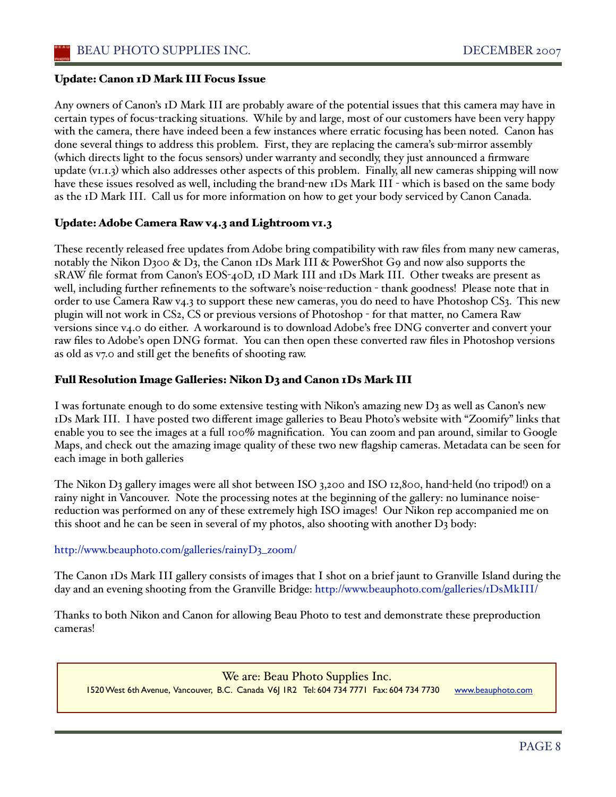#### Update: Canon 1D Mark III Focus Issue

Any owners of Canon's 1D Mark III are probably aware of the potential issues that this camera may have in certain types of focus-tracking situations. While by and large, most of our customers have been very happy with the camera, there have indeed been a few instances where erratic focusing has been noted. Canon has done several things to address this problem. First, they are replacing the camera's sub-mirror assembly (which directs light to the focus sensors) under warranty and secondly, they just announced a firmware update (v1.1.3) which also addresses other aspects of this problem. Finally, all new cameras shipping will now have these issues resolved as well, including the brand-new 1Ds Mark III - which is based on the same body as the 1D Mark III. Call us for more information on how to get your body serviced by Canon Canada.

#### Update: Adobe Camera Raw v4.3 and Lightroom v1.3

These recently released free updates from Adobe bring compatibility with raw files from many new cameras, notably the Nikon D300 & D3, the Canon 1Ds Mark III & PowerShot G9 and now also supports the sRAW file format from Canon's EOS-40D, 1D Mark III and 1Ds Mark III. Other tweaks are present as well, including further refinements to the software's noise-reduction - thank goodness! Please note that in order to use Camera Raw v4.3 to support these new cameras, you do need to have Photoshop CS3. This new plugin will not work in CS2, CS or previous versions of Photoshop - for that matter, no Camera Raw versions since v4.0 do either. A workaround is to download Adobe's free DNG converter and convert your raw files to Adobe's open DNG format. You can then open these converted raw files in Photoshop versions as old as v7.0 and still get the benefits of shooting raw.

#### Full Resolution Image Galleries: Nikon D3 and Canon 1Ds Mark III

I was fortunate enough to do some extensive testing with Nikon's amazing new D3 as well as Canon's new 1Ds Mark III. I have posted two different image galleries to Beau Photo's website with "Zoomify" links that enable you to see the images at a full 100% magnification. You can zoom and pan around, similar to Google Maps, and check out the amazing image quality of these two new flagship cameras. Metadata can be seen for each image in both galleries

The Nikon D3 gallery images were all shot between ISO 3,200 and ISO 12,800, hand-held (no tripod!) on a rainy night in Vancouver. Note the processing notes at the beginning of the gallery: no luminance noisereduction was performed on any of these extremely high ISO images! Our Nikon rep accompanied me on this shoot and he can be seen in several of my photos, also shooting with another  $D_3$  body:

#### http://www.beauphoto.com/galleries/rainyD3\_zoom/

The Canon 1Ds Mark III gallery consists of images that I shot on a brief jaunt to Granville Island during the day and an evening shooting from the Granville Bridge: http://www.beauphoto.com/galleries/1DsMkIII/

Thanks to both Nikon and Canon for allowing Beau Photo to test and demonstrate these preproduction cameras!

We are: Beau Photo Supplies Inc. 1520 West 6th Avenue, Vancouver, B.C. Canada V6J 1R2 Tel: 604 734 7771Fax: 604 734 7730 www.beauphoto.com